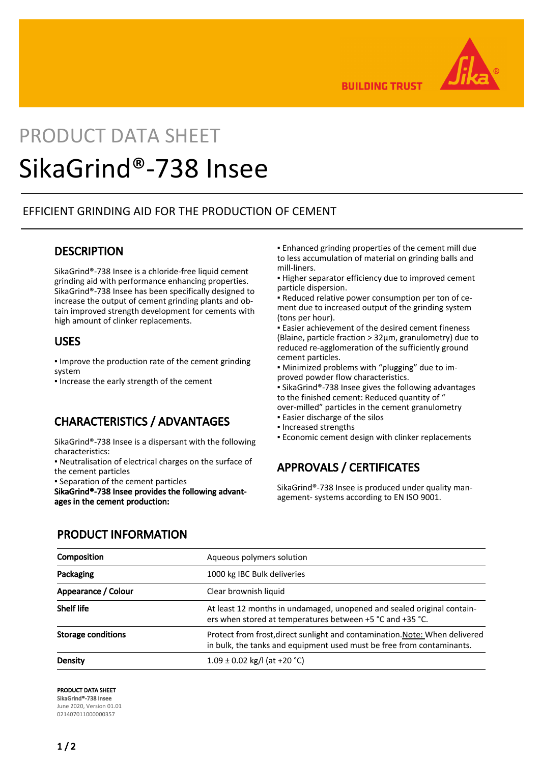

**BUILDING TRUST** 

# PRODUCT DATA SHEET

## SikaGrind®-738 Insee

#### EFFICIENT GRINDING AID FOR THE PRODUCTION OF CEMENT

#### **DESCRIPTION**

SikaGrind®-738 Insee is a chloride-free liquid cement grinding aid with performance enhancing properties. SikaGrind®-738 Insee has been specifically designed to increase the output of cement grinding plants and obtain improved strength development for cements with high amount of clinker replacements.

#### USES

▪ Improve the production rate of the cement grinding system

▪ Increase the early strength of the cement

#### CHARACTERISTICS / ADVANTAGES

SikaGrind®-738 Insee is a dispersant with the following characteristics:

▪ Neutralisation of electrical charges on the surface of the cement particles

▪ Separation of the cement particles

SikaGrind®-738 Insee provides the following advantages in the cement production:

▪ Enhanced grinding properties of the cement mill due to less accumulation of material on grinding balls and mill-liners.

**.** Higher separator efficiency due to improved cement particle dispersion.

▪ Reduced relative power consumption per ton of cement due to increased output of the grinding system (tons per hour).

**Easier achievement of the desired cement fineness** (Blaine, particle fraction > 32μm, granulometry) due to reduced re-agglomeration of the sufficiently ground cement particles.

▪ Minimized problems with "plugging" due to improved powder flow characteristics.

■ SikaGrind®-738 Insee gives the following advantages to the finished cement: Reduced quantity of " over-milled" particles in the cement granulometry

- **Easier discharge of the silos**
- Increased strengths

**Economic cement design with clinker replacements** 

## APPROVALS / CERTIFICATES

SikaGrind®-738 Insee is produced under quality management- systems according to EN ISO 9001.

| <b>PRODUCT INFORMATION</b> |
|----------------------------|
|                            |

| Composition               | Aqueous polymers solution                                                                                                                            |
|---------------------------|------------------------------------------------------------------------------------------------------------------------------------------------------|
| Packaging                 | 1000 kg IBC Bulk deliveries                                                                                                                          |
| Appearance / Colour       | Clear brownish liquid                                                                                                                                |
| <b>Shelf life</b>         | At least 12 months in undamaged, unopened and sealed original contain-<br>ers when stored at temperatures between +5 °C and +35 °C.                  |
| <b>Storage conditions</b> | Protect from frost, direct sunlight and contamination. Note: When delivered<br>in bulk, the tanks and equipment used must be free from contaminants. |
| Density                   | $1.09 \pm 0.02$ kg/l (at +20 °C)                                                                                                                     |

PRODUCT DATA SHEET

SikaGrind®-738 Insee June 2020, Version 01.01 021407011000000357